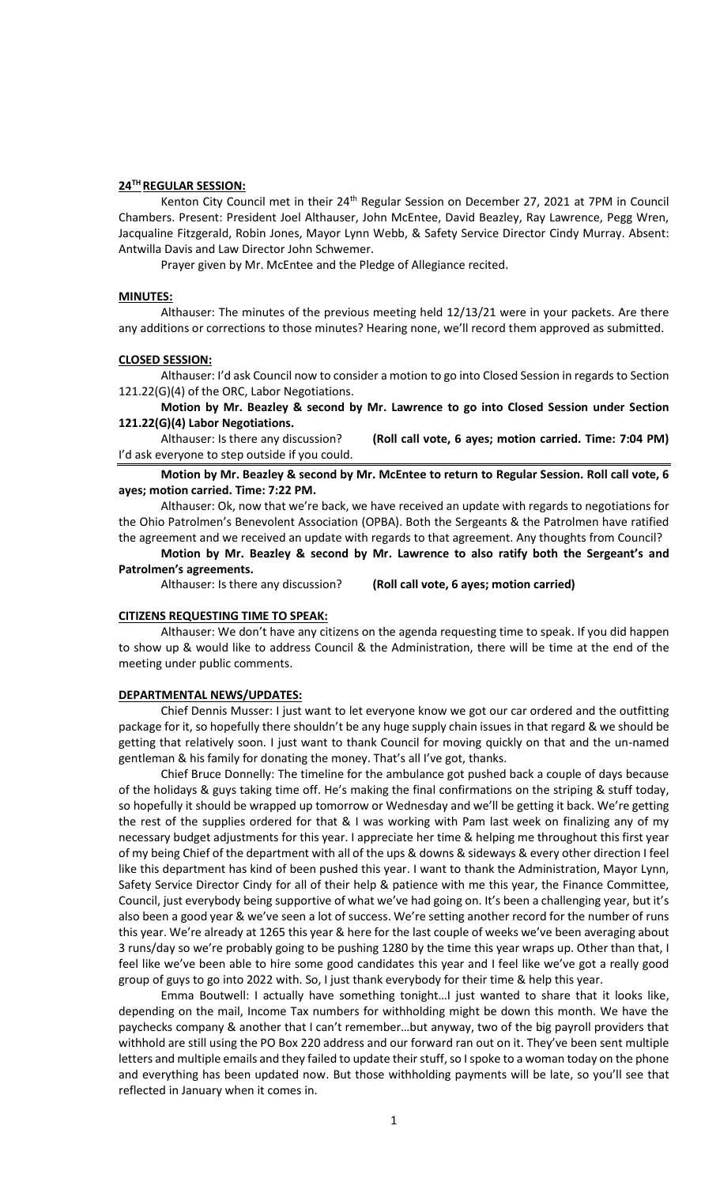### **24TH REGULAR SESSION:**

Kenton City Council met in their 24<sup>th</sup> Regular Session on December 27, 2021 at 7PM in Council Chambers. Present: President Joel Althauser, John McEntee, David Beazley, Ray Lawrence, Pegg Wren, Jacqualine Fitzgerald, Robin Jones, Mayor Lynn Webb, & Safety Service Director Cindy Murray. Absent: Antwilla Davis and Law Director John Schwemer.

Prayer given by Mr. McEntee and the Pledge of Allegiance recited.

#### **MINUTES:**

Althauser: The minutes of the previous meeting held 12/13/21 were in your packets. Are there any additions or corrections to those minutes? Hearing none, we'll record them approved as submitted.

#### **CLOSED SESSION:**

Althauser: I'd ask Council now to consider a motion to go into Closed Session in regards to Section 121.22(G)(4) of the ORC, Labor Negotiations.

**Motion by Mr. Beazley & second by Mr. Lawrence to go into Closed Session under Section 121.22(G)(4) Labor Negotiations.** 

Althauser: Is there any discussion? **(Roll call vote, 6 ayes; motion carried. Time: 7:04 PM)** I'd ask everyone to step outside if you could.

**Motion by Mr. Beazley & second by Mr. McEntee to return to Regular Session. Roll call vote, 6 ayes; motion carried. Time: 7:22 PM.**

Althauser: Ok, now that we're back, we have received an update with regards to negotiations for the Ohio Patrolmen's Benevolent Association (OPBA). Both the Sergeants & the Patrolmen have ratified the agreement and we received an update with regards to that agreement. Any thoughts from Council?

**Motion by Mr. Beazley & second by Mr. Lawrence to also ratify both the Sergeant's and Patrolmen's agreements.**

Althauser: Is there any discussion? **(Roll call vote, 6 ayes; motion carried)**

#### **CITIZENS REQUESTING TIME TO SPEAK:**

Althauser: We don't have any citizens on the agenda requesting time to speak. If you did happen to show up & would like to address Council & the Administration, there will be time at the end of the meeting under public comments.

#### **DEPARTMENTAL NEWS/UPDATES:**

Chief Dennis Musser: I just want to let everyone know we got our car ordered and the outfitting package for it, so hopefully there shouldn't be any huge supply chain issues in that regard & we should be getting that relatively soon. I just want to thank Council for moving quickly on that and the un-named gentleman & his family for donating the money. That's all I've got, thanks.

Chief Bruce Donnelly: The timeline for the ambulance got pushed back a couple of days because of the holidays & guys taking time off. He's making the final confirmations on the striping & stuff today, so hopefully it should be wrapped up tomorrow or Wednesday and we'll be getting it back. We're getting the rest of the supplies ordered for that & I was working with Pam last week on finalizing any of my necessary budget adjustments for this year. I appreciate her time & helping me throughout this first year of my being Chief of the department with all of the ups & downs & sideways & every other direction I feel like this department has kind of been pushed this year. I want to thank the Administration, Mayor Lynn, Safety Service Director Cindy for all of their help & patience with me this year, the Finance Committee, Council, just everybody being supportive of what we've had going on. It's been a challenging year, but it's also been a good year & we've seen a lot of success. We're setting another record for the number of runs this year. We're already at 1265 this year & here for the last couple of weeks we've been averaging about 3 runs/day so we're probably going to be pushing 1280 by the time this year wraps up. Other than that, I feel like we've been able to hire some good candidates this year and I feel like we've got a really good group of guys to go into 2022 with. So, I just thank everybody for their time & help this year.

Emma Boutwell: I actually have something tonight…I just wanted to share that it looks like, depending on the mail, Income Tax numbers for withholding might be down this month. We have the paychecks company & another that I can't remember…but anyway, two of the big payroll providers that withhold are still using the PO Box 220 address and our forward ran out on it. They've been sent multiple letters and multiple emails and they failed to update their stuff, so I spoke to a woman today on the phone and everything has been updated now. But those withholding payments will be late, so you'll see that reflected in January when it comes in.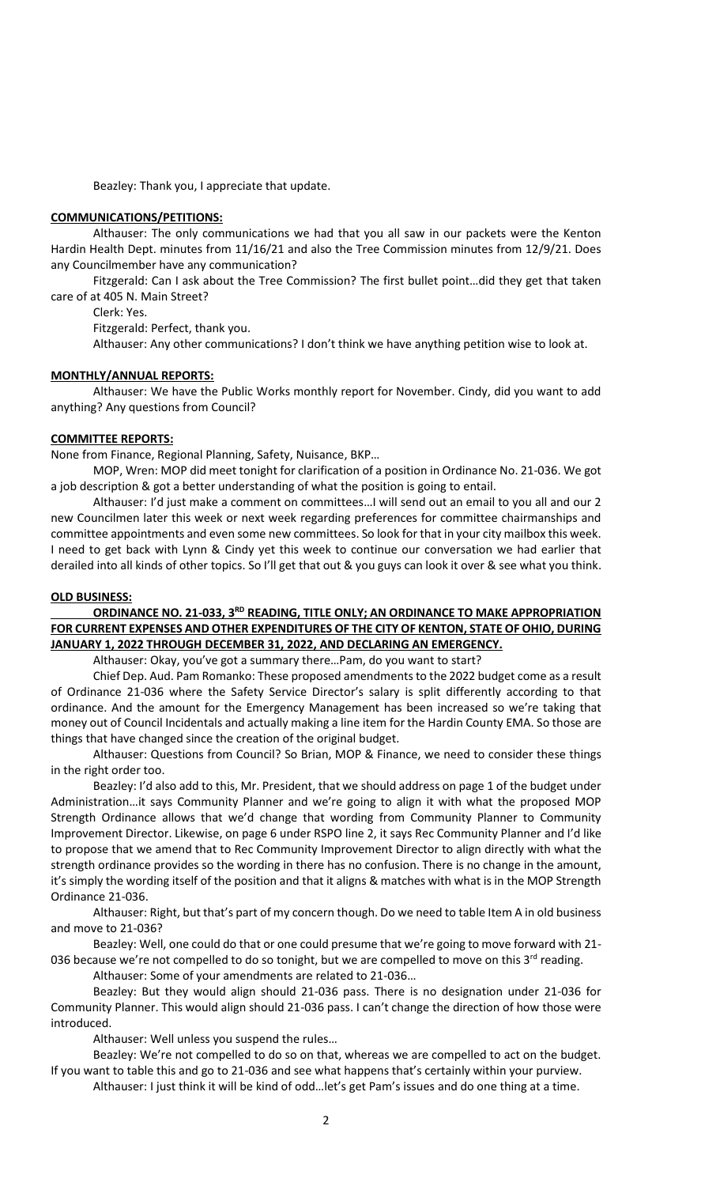Beazley: Thank you, I appreciate that update.

### **COMMUNICATIONS/PETITIONS:**

Althauser: The only communications we had that you all saw in our packets were the Kenton Hardin Health Dept. minutes from 11/16/21 and also the Tree Commission minutes from 12/9/21. Does any Councilmember have any communication?

Fitzgerald: Can I ask about the Tree Commission? The first bullet point…did they get that taken care of at 405 N. Main Street?

Clerk: Yes.

Fitzgerald: Perfect, thank you.

Althauser: Any other communications? I don't think we have anything petition wise to look at.

# **MONTHLY/ANNUAL REPORTS:**

Althauser: We have the Public Works monthly report for November. Cindy, did you want to add anything? Any questions from Council?

### **COMMITTEE REPORTS:**

None from Finance, Regional Planning, Safety, Nuisance, BKP…

MOP, Wren: MOP did meet tonight for clarification of a position in Ordinance No. 21-036. We got a job description & got a better understanding of what the position is going to entail.

Althauser: I'd just make a comment on committees…I will send out an email to you all and our 2 new Councilmen later this week or next week regarding preferences for committee chairmanships and committee appointments and even some new committees. So look for that in your city mailbox this week. I need to get back with Lynn & Cindy yet this week to continue our conversation we had earlier that derailed into all kinds of other topics. So I'll get that out & you guys can look it over & see what you think.

## **OLD BUSINESS:**

# **ORDINANCE NO. 21-033, 3<sup>RD</sup> READING, TITLE ONLY; AN ORDINANCE TO MAKE APPROPRIATION FOR CURRENT EXPENSES AND OTHER EXPENDITURES OF THE CITY OF KENTON, STATE OF OHIO, DURING JANUARY 1, 2022 THROUGH DECEMBER 31, 2022, AND DECLARING AN EMERGENCY.**

Althauser: Okay, you've got a summary there…Pam, do you want to start?

Chief Dep. Aud. Pam Romanko: These proposed amendments to the 2022 budget come as a result of Ordinance 21-036 where the Safety Service Director's salary is split differently according to that ordinance. And the amount for the Emergency Management has been increased so we're taking that money out of Council Incidentals and actually making a line item for the Hardin County EMA. So those are things that have changed since the creation of the original budget.

Althauser: Questions from Council? So Brian, MOP & Finance, we need to consider these things in the right order too.

Beazley: I'd also add to this, Mr. President, that we should address on page 1 of the budget under Administration…it says Community Planner and we're going to align it with what the proposed MOP Strength Ordinance allows that we'd change that wording from Community Planner to Community Improvement Director. Likewise, on page 6 under RSPO line 2, it says Rec Community Planner and I'd like to propose that we amend that to Rec Community Improvement Director to align directly with what the strength ordinance provides so the wording in there has no confusion. There is no change in the amount, it's simply the wording itself of the position and that it aligns & matches with what is in the MOP Strength Ordinance 21-036.

Althauser: Right, but that's part of my concern though. Do we need to table Item A in old business and move to 21-036?

Beazley: Well, one could do that or one could presume that we're going to move forward with 21- 036 because we're not compelled to do so tonight, but we are compelled to move on this  $3^{rd}$  reading.

Althauser: Some of your amendments are related to 21-036…

Beazley: But they would align should 21-036 pass. There is no designation under 21-036 for Community Planner. This would align should 21-036 pass. I can't change the direction of how those were introduced.

Althauser: Well unless you suspend the rules…

Beazley: We're not compelled to do so on that, whereas we are compelled to act on the budget. If you want to table this and go to 21-036 and see what happens that's certainly within your purview.

Althauser: I just think it will be kind of odd…let's get Pam's issues and do one thing at a time.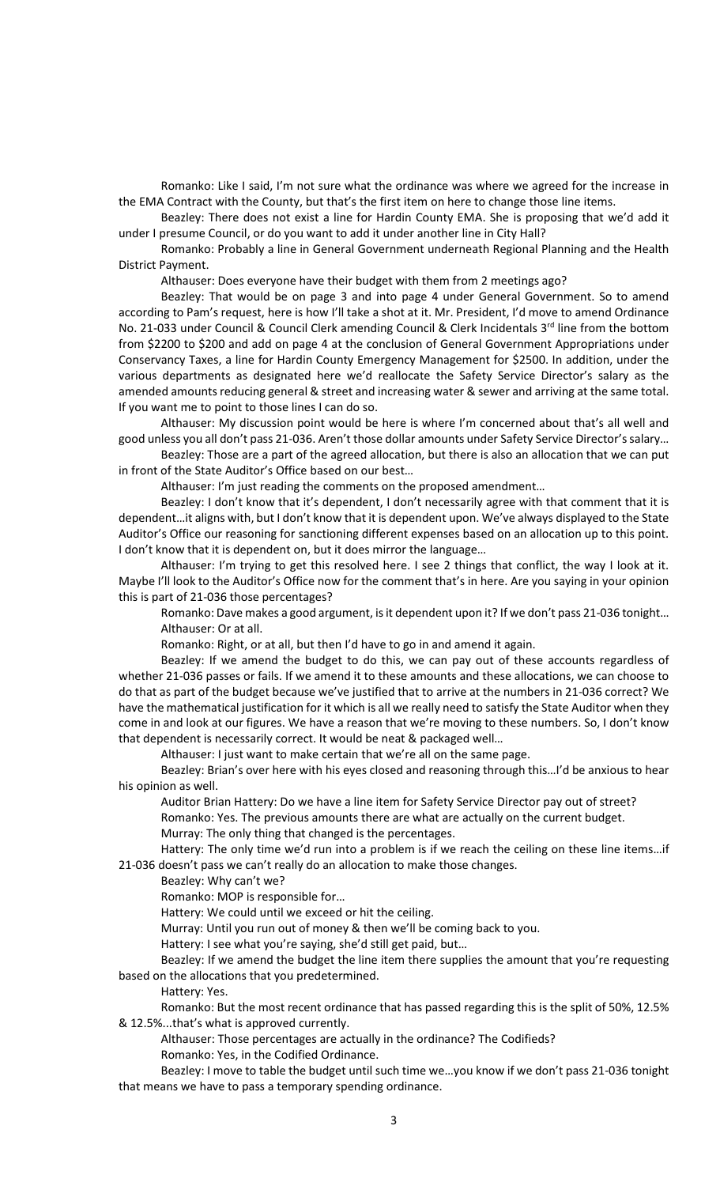Romanko: Like I said, I'm not sure what the ordinance was where we agreed for the increase in the EMA Contract with the County, but that's the first item on here to change those line items.

Beazley: There does not exist a line for Hardin County EMA. She is proposing that we'd add it under I presume Council, or do you want to add it under another line in City Hall?

Romanko: Probably a line in General Government underneath Regional Planning and the Health District Payment.

Althauser: Does everyone have their budget with them from 2 meetings ago?

Beazley: That would be on page 3 and into page 4 under General Government. So to amend according to Pam's request, here is how I'll take a shot at it. Mr. President, I'd move to amend Ordinance No. 21-033 under Council & Council Clerk amending Council & Clerk Incidentals 3<sup>rd</sup> line from the bottom from \$2200 to \$200 and add on page 4 at the conclusion of General Government Appropriations under Conservancy Taxes, a line for Hardin County Emergency Management for \$2500. In addition, under the various departments as designated here we'd reallocate the Safety Service Director's salary as the amended amounts reducing general & street and increasing water & sewer and arriving at the same total. If you want me to point to those lines I can do so.

Althauser: My discussion point would be here is where I'm concerned about that's all well and good unless you all don't pass 21-036. Aren't those dollar amounts under Safety Service Director's salary…

Beazley: Those are a part of the agreed allocation, but there is also an allocation that we can put in front of the State Auditor's Office based on our best…

Althauser: I'm just reading the comments on the proposed amendment…

Beazley: I don't know that it's dependent, I don't necessarily agree with that comment that it is dependent…it aligns with, but I don't know that it is dependent upon. We've always displayed to the State Auditor's Office our reasoning for sanctioning different expenses based on an allocation up to this point. I don't know that it is dependent on, but it does mirror the language…

Althauser: I'm trying to get this resolved here. I see 2 things that conflict, the way I look at it. Maybe I'll look to the Auditor's Office now for the comment that's in here. Are you saying in your opinion this is part of 21-036 those percentages?

Romanko: Dave makes a good argument, is it dependent upon it? If we don't pass 21-036 tonight… Althauser: Or at all.

Romanko: Right, or at all, but then I'd have to go in and amend it again.

Beazley: If we amend the budget to do this, we can pay out of these accounts regardless of whether 21-036 passes or fails. If we amend it to these amounts and these allocations, we can choose to do that as part of the budget because we've justified that to arrive at the numbers in 21-036 correct? We have the mathematical justification for it which is all we really need to satisfy the State Auditor when they come in and look at our figures. We have a reason that we're moving to these numbers. So, I don't know that dependent is necessarily correct. It would be neat & packaged well…

Althauser: I just want to make certain that we're all on the same page.

Beazley: Brian's over here with his eyes closed and reasoning through this…I'd be anxious to hear his opinion as well.

Auditor Brian Hattery: Do we have a line item for Safety Service Director pay out of street? Romanko: Yes. The previous amounts there are what are actually on the current budget.

Murray: The only thing that changed is the percentages.

Hattery: The only time we'd run into a problem is if we reach the ceiling on these line items…if 21-036 doesn't pass we can't really do an allocation to make those changes.

Beazley: Why can't we?

Romanko: MOP is responsible for…

Hattery: We could until we exceed or hit the ceiling.

Murray: Until you run out of money & then we'll be coming back to you.

Hattery: I see what you're saying, she'd still get paid, but…

Beazley: If we amend the budget the line item there supplies the amount that you're requesting based on the allocations that you predetermined.

Hattery: Yes.

Romanko: But the most recent ordinance that has passed regarding this is the split of 50%, 12.5% & 12.5%...that's what is approved currently.

Althauser: Those percentages are actually in the ordinance? The Codifieds?

Romanko: Yes, in the Codified Ordinance.

Beazley: I move to table the budget until such time we…you know if we don't pass 21-036 tonight that means we have to pass a temporary spending ordinance.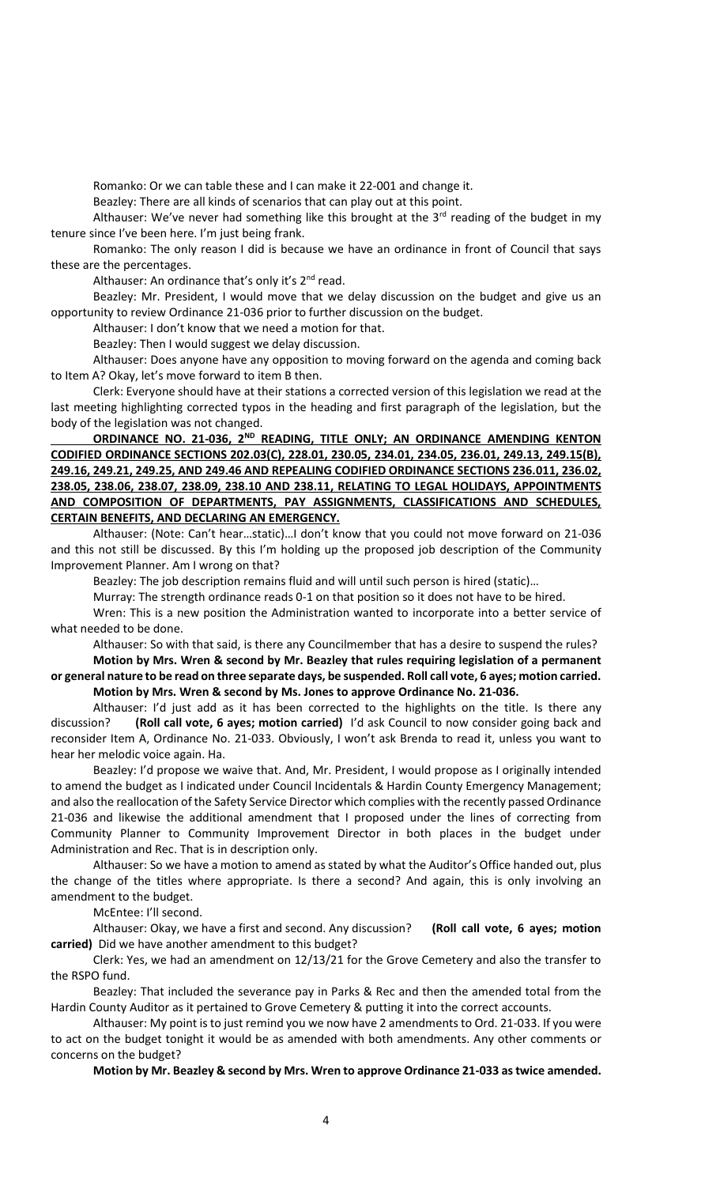Romanko: Or we can table these and I can make it 22-001 and change it.

Beazley: There are all kinds of scenarios that can play out at this point.

Althauser: We've never had something like this brought at the  $3<sup>rd</sup>$  reading of the budget in my tenure since I've been here. I'm just being frank.

Romanko: The only reason I did is because we have an ordinance in front of Council that says these are the percentages.

Althauser: An ordinance that's only it's  $2<sup>nd</sup>$  read.

Beazley: Mr. President, I would move that we delay discussion on the budget and give us an opportunity to review Ordinance 21-036 prior to further discussion on the budget.

Althauser: I don't know that we need a motion for that.

Beazley: Then I would suggest we delay discussion.

Althauser: Does anyone have any opposition to moving forward on the agenda and coming back to Item A? Okay, let's move forward to item B then.

Clerk: Everyone should have at their stations a corrected version of this legislation we read at the last meeting highlighting corrected typos in the heading and first paragraph of the legislation, but the body of the legislation was not changed.

ORDINANCE NO. 21-036, 2<sup>ND</sup> READING, TITLE ONLY; AN ORDINANCE AMENDING KENTON **CODIFIED ORDINANCE SECTIONS 202.03(C), 228.01, 230.05, 234.01, 234.05, 236.01, 249.13, 249.15(B), 249.16, 249.21, 249.25, AND 249.46 AND REPEALING CODIFIED ORDINANCE SECTIONS 236.011, 236.02, 238.05, 238.06, 238.07, 238.09, 238.10 AND 238.11, RELATING TO LEGAL HOLIDAYS, APPOINTMENTS AND COMPOSITION OF DEPARTMENTS, PAY ASSIGNMENTS, CLASSIFICATIONS AND SCHEDULES, CERTAIN BENEFITS, AND DECLARING AN EMERGENCY.**

Althauser: (Note: Can't hear…static)…I don't know that you could not move forward on 21-036 and this not still be discussed. By this I'm holding up the proposed job description of the Community Improvement Planner. Am I wrong on that?

Beazley: The job description remains fluid and will until such person is hired (static)…

Murray: The strength ordinance reads 0-1 on that position so it does not have to be hired.

Wren: This is a new position the Administration wanted to incorporate into a better service of what needed to be done.

Althauser: So with that said, is there any Councilmember that has a desire to suspend the rules? **Motion by Mrs. Wren & second by Mr. Beazley that rules requiring legislation of a permanent or general nature to be read on three separate days, be suspended. Roll call vote, 6 ayes; motion carried.**

**Motion by Mrs. Wren & second by Ms. Jones to approve Ordinance No. 21-036.**

Althauser: I'd just add as it has been corrected to the highlights on the title. Is there any discussion? **(Roll call vote, 6 ayes; motion carried)** I'd ask Council to now consider going back and reconsider Item A, Ordinance No. 21-033. Obviously, I won't ask Brenda to read it, unless you want to hear her melodic voice again. Ha.

Beazley: I'd propose we waive that. And, Mr. President, I would propose as I originally intended to amend the budget as I indicated under Council Incidentals & Hardin County Emergency Management; and also the reallocation of the Safety Service Director which complies with the recently passed Ordinance 21-036 and likewise the additional amendment that I proposed under the lines of correcting from Community Planner to Community Improvement Director in both places in the budget under Administration and Rec. That is in description only.

Althauser: So we have a motion to amend as stated by what the Auditor's Office handed out, plus the change of the titles where appropriate. Is there a second? And again, this is only involving an amendment to the budget.

McEntee: I'll second.

Althauser: Okay, we have a first and second. Any discussion? **(Roll call vote, 6 ayes; motion carried)** Did we have another amendment to this budget?

Clerk: Yes, we had an amendment on 12/13/21 for the Grove Cemetery and also the transfer to the RSPO fund.

Beazley: That included the severance pay in Parks & Rec and then the amended total from the Hardin County Auditor as it pertained to Grove Cemetery & putting it into the correct accounts.

Althauser: My point is to just remind you we now have 2 amendments to Ord. 21-033. If you were to act on the budget tonight it would be as amended with both amendments. Any other comments or concerns on the budget?

**Motion by Mr. Beazley & second by Mrs. Wren to approve Ordinance 21-033 as twice amended.**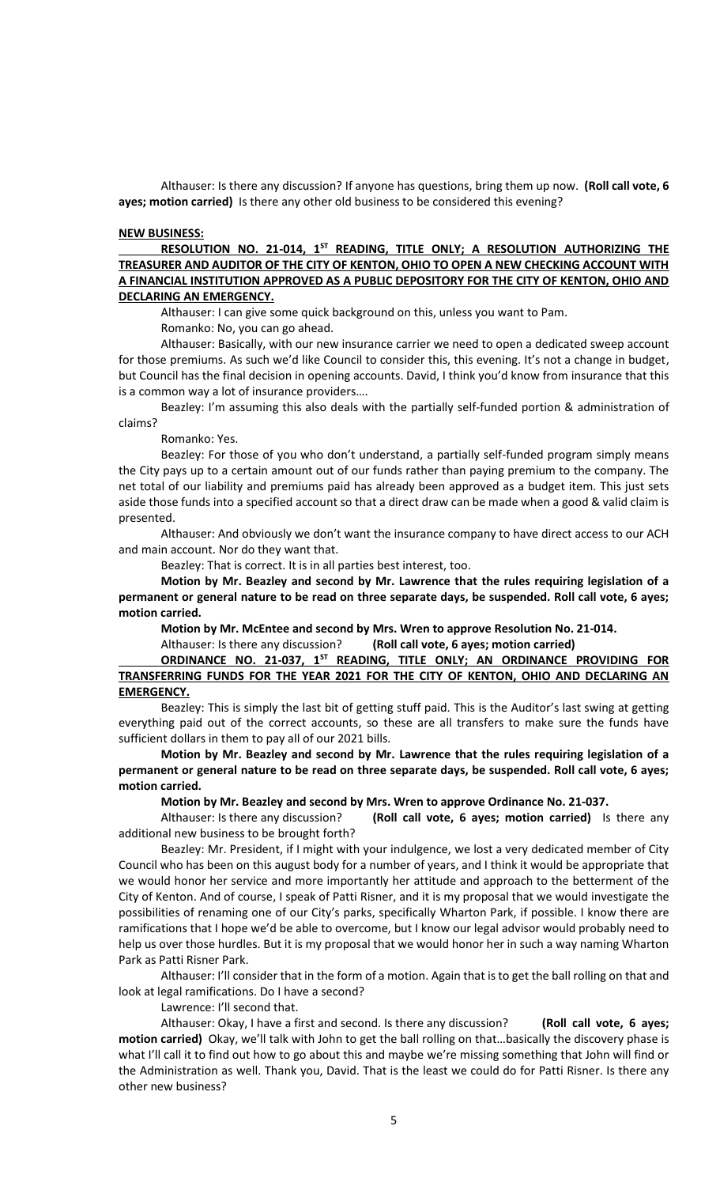Althauser: Is there any discussion? If anyone has questions, bring them up now. **(Roll call vote, 6 ayes; motion carried)** Is there any other old business to be considered this evening?

#### **NEW BUSINESS:**

**RESOLUTION NO. 21-014, 1ST READING, TITLE ONLY; A RESOLUTION AUTHORIZING THE TREASURER AND AUDITOR OF THE CITY OF KENTON, OHIO TO OPEN A NEW CHECKING ACCOUNT WITH A FINANCIAL INSTITUTION APPROVED AS A PUBLIC DEPOSITORY FOR THE CITY OF KENTON, OHIO AND DECLARING AN EMERGENCY.**

Althauser: I can give some quick background on this, unless you want to Pam.

Romanko: No, you can go ahead.

Althauser: Basically, with our new insurance carrier we need to open a dedicated sweep account for those premiums. As such we'd like Council to consider this, this evening. It's not a change in budget, but Council has the final decision in opening accounts. David, I think you'd know from insurance that this is a common way a lot of insurance providers….

Beazley: I'm assuming this also deals with the partially self-funded portion & administration of claims?

Romanko: Yes.

Beazley: For those of you who don't understand, a partially self-funded program simply means the City pays up to a certain amount out of our funds rather than paying premium to the company. The net total of our liability and premiums paid has already been approved as a budget item. This just sets aside those funds into a specified account so that a direct draw can be made when a good & valid claim is presented.

Althauser: And obviously we don't want the insurance company to have direct access to our ACH and main account. Nor do they want that.

Beazley: That is correct. It is in all parties best interest, too.

**Motion by Mr. Beazley and second by Mr. Lawrence that the rules requiring legislation of a permanent or general nature to be read on three separate days, be suspended. Roll call vote, 6 ayes; motion carried.**

**Motion by Mr. McEntee and second by Mrs. Wren to approve Resolution No. 21-014.**

Althauser: Is there any discussion? **(Roll call vote, 6 ayes; motion carried)**

# **ORDINANCE NO. 21-037, 1ST READING, TITLE ONLY; AN ORDINANCE PROVIDING FOR TRANSFERRING FUNDS FOR THE YEAR 2021 FOR THE CITY OF KENTON, OHIO AND DECLARING AN EMERGENCY.**

Beazley: This is simply the last bit of getting stuff paid. This is the Auditor's last swing at getting everything paid out of the correct accounts, so these are all transfers to make sure the funds have sufficient dollars in them to pay all of our 2021 bills.

**Motion by Mr. Beazley and second by Mr. Lawrence that the rules requiring legislation of a permanent or general nature to be read on three separate days, be suspended. Roll call vote, 6 ayes; motion carried.**

**Motion by Mr. Beazley and second by Mrs. Wren to approve Ordinance No. 21-037.**

Althauser: Is there any discussion? **(Roll call vote, 6 ayes; motion carried)** Is there any additional new business to be brought forth?

Beazley: Mr. President, if I might with your indulgence, we lost a very dedicated member of City Council who has been on this august body for a number of years, and I think it would be appropriate that we would honor her service and more importantly her attitude and approach to the betterment of the City of Kenton. And of course, I speak of Patti Risner, and it is my proposal that we would investigate the possibilities of renaming one of our City's parks, specifically Wharton Park, if possible. I know there are ramifications that I hope we'd be able to overcome, but I know our legal advisor would probably need to help us over those hurdles. But it is my proposal that we would honor her in such a way naming Wharton Park as Patti Risner Park.

Althauser: I'll consider that in the form of a motion. Again that is to get the ball rolling on that and look at legal ramifications. Do I have a second?

Lawrence: I'll second that.

Althauser: Okay, I have a first and second. Is there any discussion? **(Roll call vote, 6 ayes; motion carried)** Okay, we'll talk with John to get the ball rolling on that…basically the discovery phase is what I'll call it to find out how to go about this and maybe we're missing something that John will find or the Administration as well. Thank you, David. That is the least we could do for Patti Risner. Is there any other new business?